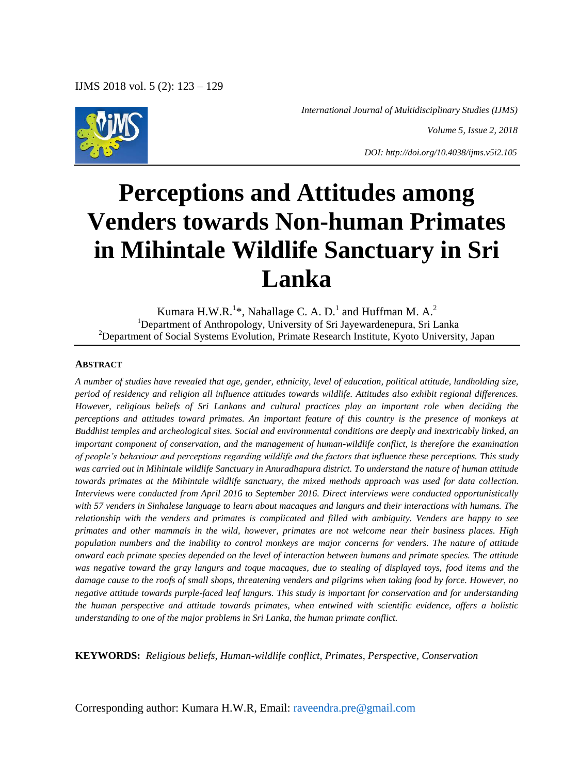

 *International Journal of Multidisciplinary Studies (IJMS)*

*Volume 5, Issue 2, 2018*

*DOI: http://doi.org/10.4038/ijms.v5i2.105*

# **Perceptions and Attitudes among Venders towards Non-human Primates in Mihintale Wildlife Sanctuary in Sri Lanka**

Kumara H.W.R. $^{1*}$ , Nahallage C. A. D.<sup>1</sup> and Huffman M. A.<sup>2</sup> <sup>1</sup>Department of Anthropology, University of Sri Jayewardenepura, Sri Lanka <sup>2</sup>Department of Social Systems Evolution, Primate Research Institute, Kyoto University, Japan

#### **ABSTRACT**

*A number of studies have revealed that age, gender, ethnicity, level of education, political attitude, landholding size, period of residency and religion all influence attitudes towards wildlife. Attitudes also exhibit regional differences. However, religious beliefs of Sri Lankans and cultural practices play an important role when deciding the perceptions and attitudes toward primates. An important feature of this country is the presence of monkeys at Buddhist temples and archeological sites. Social and environmental conditions are deeply and inextricably linked, an important component of conservation, and the management of human-wildlife conflict, is therefore the examination of people"s behaviour and perceptions regarding wildlife and the factors that influence these perceptions. This study was carried out in Mihintale wildlife Sanctuary in Anuradhapura district. To understand the nature of human attitude towards primates at the Mihintale wildlife sanctuary, the mixed methods approach was used for data collection. Interviews were conducted from April 2016 to September 2016. Direct interviews were conducted opportunistically with 57 venders in Sinhalese language to learn about macaques and langurs and their interactions with humans. The relationship with the venders and primates is complicated and filled with ambiguity. Venders are happy to see primates and other mammals in the wild, however, primates are not welcome near their business places. High population numbers and the inability to control monkeys are major concerns for venders. The nature of attitude onward each primate species depended on the level of interaction between humans and primate species. The attitude was negative toward the gray langurs and toque macaques, due to stealing of displayed toys, food items and the damage cause to the roofs of small shops, threatening venders and pilgrims when taking food by force. However, no negative attitude towards purple-faced leaf langurs. This study is important for conservation and for understanding the human perspective and attitude towards primates, when entwined with scientific evidence, offers a holistic understanding to one of the major problems in Sri Lanka, the human primate conflict.* 

**KEYWORDS:** *Religious beliefs, Human-wildlife conflict, Primates, Perspective, Conservation*

Corresponding author: Kumara H.W.R, Email: raveendra.pre@gmail.com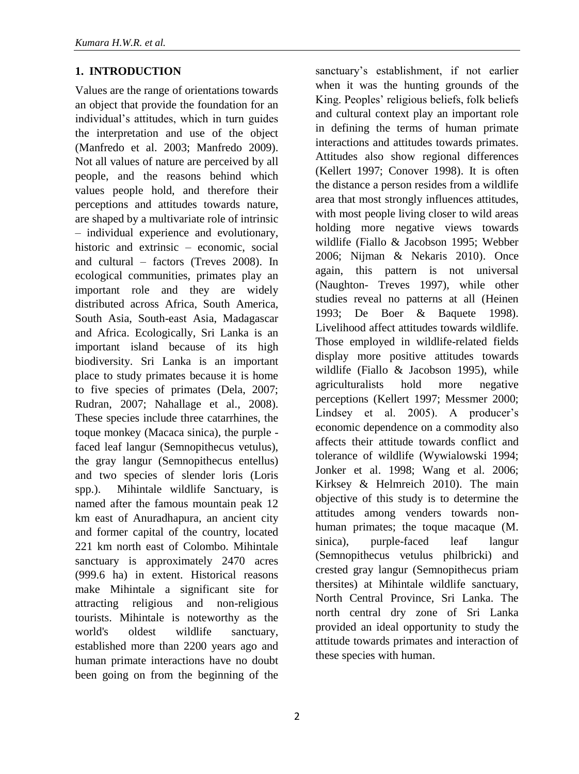### **1. INTRODUCTION**

Values are the range of orientations towards an object that provide the foundation for an individual's attitudes, which in turn guides the interpretation and use of the object (Manfredo et al. 2003; Manfredo 2009). Not all values of nature are perceived by all people, and the reasons behind which values people hold, and therefore their perceptions and attitudes towards nature, are shaped by a multivariate role of intrinsic – individual experience and evolutionary, historic and extrinsic – economic, social and cultural – factors (Treves 2008). In ecological communities, primates play an important role and they are widely distributed across Africa, South America, South Asia, South-east Asia, Madagascar and Africa. Ecologically, Sri Lanka is an important island because of its high biodiversity. Sri Lanka is an important place to study primates because it is home to five species of primates (Dela, 2007; Rudran, 2007; Nahallage et al., 2008). These species include three catarrhines, the toque monkey (Macaca sinica), the purple faced leaf langur (Semnopithecus vetulus), the gray langur (Semnopithecus entellus) and two species of slender loris (Loris spp.). Mihintale wildlife Sanctuary, is named after the famous mountain peak 12 km east of Anuradhapura, an ancient city and former capital of the country, located 221 km north east of Colombo. Mihintale sanctuary is approximately 2470 acres (999.6 ha) in extent. Historical reasons make Mihintale a significant site for attracting religious and non-religious tourists. Mihintale is noteworthy as the world's oldest wildlife sanctuary, established more than 2200 years ago and human primate interactions have no doubt been going on from the beginning of the

sanctuary's establishment, if not earlier when it was the hunting grounds of the King. Peoples' religious beliefs, folk beliefs and cultural context play an important role in defining the terms of human primate interactions and attitudes towards primates. Attitudes also show regional differences (Kellert 1997; Conover 1998). It is often the distance a person resides from a wildlife area that most strongly influences attitudes, with most people living closer to wild areas holding more negative views towards wildlife (Fiallo & Jacobson 1995; Webber 2006; Nijman & Nekaris 2010). Once again, this pattern is not universal (Naughton- Treves 1997), while other studies reveal no patterns at all (Heinen 1993; De Boer & Baquete 1998). Livelihood affect attitudes towards wildlife. Those employed in wildlife-related fields display more positive attitudes towards wildlife (Fiallo & Jacobson 1995), while agriculturalists hold more negative perceptions (Kellert 1997; Messmer 2000; Lindsey et al. 2005). A producer's economic dependence on a commodity also affects their attitude towards conflict and tolerance of wildlife (Wywialowski 1994; Jonker et al. 1998; Wang et al. 2006; Kirksey & Helmreich 2010). The main objective of this study is to determine the attitudes among venders towards nonhuman primates; the toque macaque (M. sinica), purple-faced leaf langur (Semnopithecus vetulus philbricki) and crested gray langur (Semnopithecus priam thersites) at Mihintale wildlife sanctuary, North Central Province, Sri Lanka. The north central dry zone of Sri Lanka provided an ideal opportunity to study the attitude towards primates and interaction of these species with human.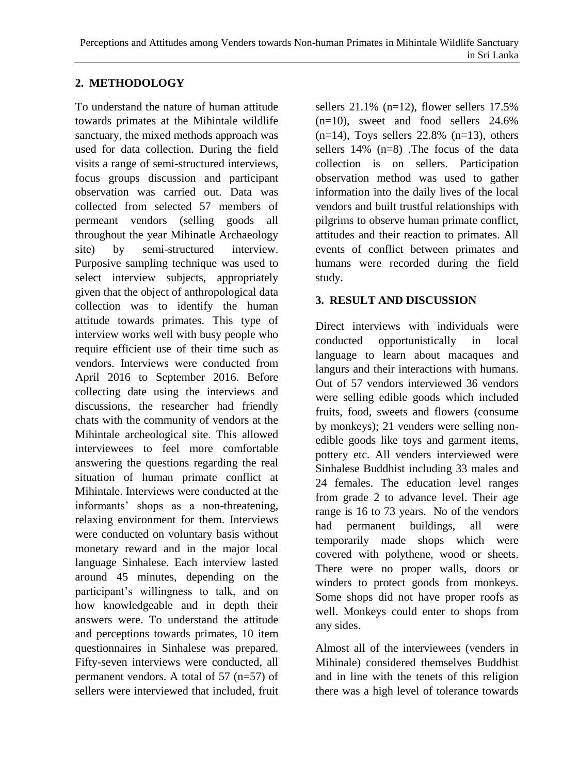## **2. METHODOLOGY**

To understand the nature of human attitude towards primates at the Mihintale wildlife sanctuary, the mixed methods approach was used for data collection. During the field visits a range of semi-structured interviews, focus groups discussion and participant observation was carried out. Data was collected from selected 57 members of permeant vendors (selling goods all throughout the year Mihinatle Archaeology site) by semi-structured interview. Purposive sampling technique was used to select interview subjects, appropriately given that the object of anthropological data collection was to identify the human attitude towards primates. This type of interview works well with busy people who require efficient use of their time such as vendors. Interviews were conducted from April 2016 to September 2016. Before collecting date using the interviews and discussions, the researcher had friendly chats with the community of vendors at the Mihintale archeological site. This allowed interviewees to feel more comfortable answering the questions regarding the real situation of human primate conflict at Mihintale. Interviews were conducted at the informants' shops as a non-threatening, relaxing environment for them. Interviews were conducted on voluntary basis without monetary reward and in the major local language Sinhalese. Each interview lasted around 45 minutes, depending on the participant's willingness to talk, and on how knowledgeable and in depth their answers were. To understand the attitude and perceptions towards primates, 10 item questionnaires in Sinhalese was prepared. Fifty-seven interviews were conducted, all permanent vendors. A total of 57 (n=57) of sellers were interviewed that included, fruit sellers 21.1% (n=12), flower sellers 17.5%  $(n=10)$ , sweet and food sellers 24.6%  $(n=14)$ , Toys sellers 22.8%  $(n=13)$ , others sellers 14% (n=8) .The focus of the data collection is on sellers. Participation observation method was used to gather information into the daily lives of the local vendors and built trustful relationships with pilgrims to observe human primate conflict, attitudes and their reaction to primates. All events of conflict between primates and humans were recorded during the field study.

### **3. RESULT AND DISCUSSION**

Direct interviews with individuals were conducted opportunistically in local language to learn about macaques and langurs and their interactions with humans. Out of 57 vendors interviewed 36 vendors were selling edible goods which included fruits, food, sweets and flowers (consume by monkeys); 21 venders were selling nonedible goods like toys and garment items, pottery etc. All venders interviewed were Sinhalese Buddhist including 33 males and 24 females. The education level ranges from grade 2 to advance level. Their age range is 16 to 73 years. No of the vendors had permanent buildings, all were temporarily made shops which were covered with polythene, wood or sheets. There were no proper walls, doors or winders to protect goods from monkeys. Some shops did not have proper roofs as well. Monkeys could enter to shops from any sides.

Almost all of the interviewees (venders in Mihinale) considered themselves Buddhist and in line with the tenets of this religion there was a high level of tolerance towards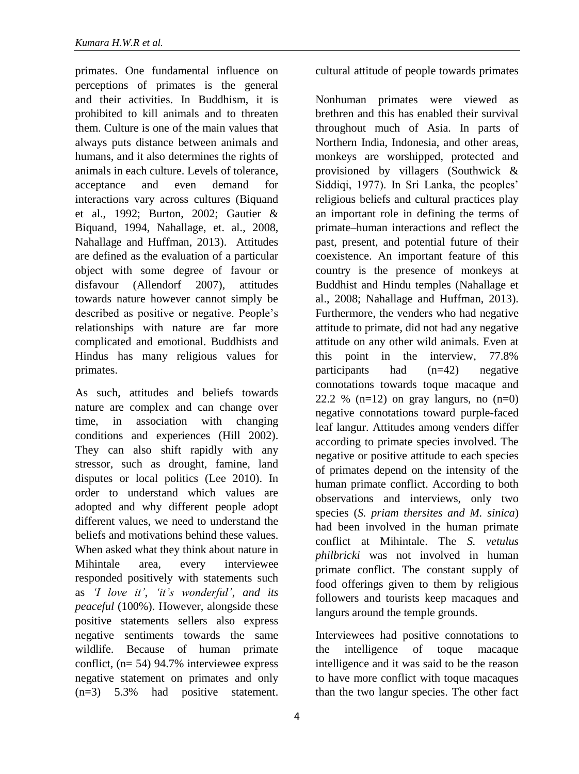primates. One fundamental influence on perceptions of primates is the general and their activities. In Buddhism, it is prohibited to kill animals and to threaten them. Culture is one of the main values that always puts distance between animals and humans, and it also determines the rights of animals in each culture. Levels of tolerance, acceptance and even demand for interactions vary across cultures (Biquand et al., 1992; Burton, 2002; Gautier & Biquand, 1994, Nahallage, et. al., 2008, Nahallage and Huffman, 2013). Attitudes are defined as the evaluation of a particular object with some degree of favour or disfavour (Allendorf 2007), attitudes towards nature however cannot simply be described as positive or negative. People's relationships with nature are far more complicated and emotional. Buddhists and Hindus has many religious values for primates.

As such, attitudes and beliefs towards nature are complex and can change over time, in association with changing conditions and experiences (Hill 2002). They can also shift rapidly with any stressor, such as drought, famine, land disputes or local politics (Lee 2010). In order to understand which values are adopted and why different people adopt different values, we need to understand the beliefs and motivations behind these values. When asked what they think about nature in Mihintale area, every interviewee responded positively with statements such as *"I love it"*, *"it"s wonderful"*, *and its peaceful* (100%). However, alongside these positive statements sellers also express negative sentiments towards the same wildlife. Because of human primate conflict, (n= 54) 94.7% interviewee express negative statement on primates and only (n=3) 5.3% had positive statement.

cultural attitude of people towards primates

Nonhuman primates were viewed as brethren and this has enabled their survival throughout much of Asia. In parts of Northern India, Indonesia, and other areas, monkeys are worshipped, protected and provisioned by villagers (Southwick & Siddiqi, 1977). In Sri Lanka, the peoples' religious beliefs and cultural practices play an important role in defining the terms of primate–human interactions and reflect the past, present, and potential future of their coexistence. An important feature of this country is the presence of monkeys at Buddhist and Hindu temples (Nahallage et al., 2008; Nahallage and Huffman, 2013). Furthermore, the venders who had negative attitude to primate, did not had any negative attitude on any other wild animals. Even at this point in the interview, 77.8% participants had (n=42) negative connotations towards toque macaque and 22.2 %  $(n=12)$  on gray langurs, no  $(n=0)$ negative connotations toward purple-faced leaf langur. Attitudes among venders differ according to primate species involved. The negative or positive attitude to each species of primates depend on the intensity of the human primate conflict. According to both observations and interviews, only two species (*S. priam thersites and M. sinica*) had been involved in the human primate conflict at Mihintale. The *S. vetulus philbricki* was not involved in human primate conflict. The constant supply of food offerings given to them by religious followers and tourists keep macaques and langurs around the temple grounds.

Interviewees had positive connotations to the intelligence of toque macaque intelligence and it was said to be the reason to have more conflict with toque macaques than the two langur species. The other fact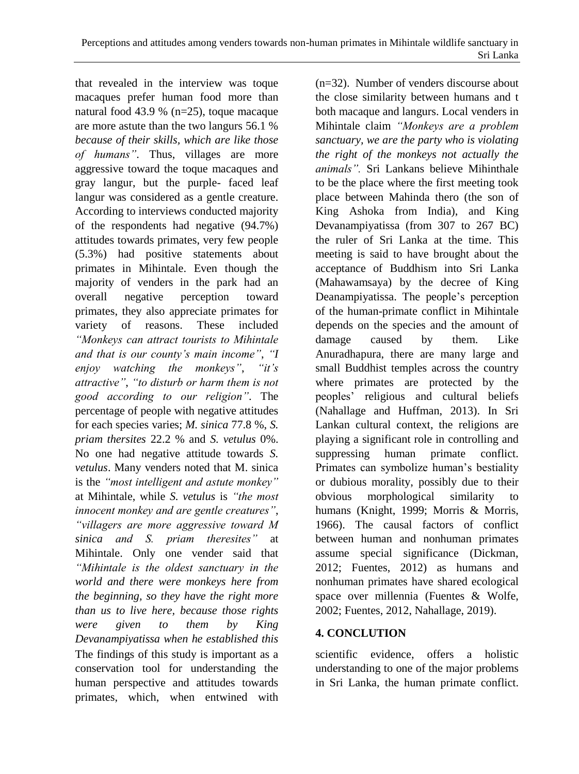that revealed in the interview was toque macaques prefer human food more than natural food 43.9 % (n=25), toque macaque are more astute than the two langurs 56.1 % *because of their skills, which are like those of humans"*. Thus, villages are more aggressive toward the toque macaques and gray langur, but the purple- faced leaf langur was considered as a gentle creature. According to interviews conducted majority of the respondents had negative (94.7%) attitudes towards primates, very few people (5.3%) had positive statements about primates in Mihintale. Even though the majority of venders in the park had an overall negative perception toward primates, they also appreciate primates for variety of reasons. These included *"Monkeys can attract tourists to Mihintale and that is our county"s main income"*, *"I enjoy watching the monkeys"*, *"it"s attractive"*, *"to disturb or harm them is not good according to our religion"*. The percentage of people with negative attitudes for each species varies; *M. sinica* 77.8 %, *S. priam thersites* 22.2 % and *S. vetulus* 0%. No one had negative attitude towards *S. vetulus*. Many venders noted that M. sinica is the *"most intelligent and astute monkey"* at Mihintale, while *S. vetulus* is *"the most innocent monkey and are gentle creatures"*, *"villagers are more aggressive toward M sinica and S. priam theresites"* at Mihintale. Only one vender said that *"Mihintale is the oldest sanctuary in the world and there were monkeys here from the beginning, so they have the right more than us to live here, because those rights were given to them by King Devanampiyatissa when he established this*  The findings of this study is important as a conservation tool for understanding the human perspective and attitudes towards primates, which, when entwined with (n=32). Number of venders discourse about the close similarity between humans and t both macaque and langurs. Local venders in Mihintale claim *"Monkeys are a problem sanctuary, we are the party who is violating the right of the monkeys not actually the animals".* Sri Lankans believe Mihinthale to be the place where the first meeting took place between Mahinda thero (the son of King Ashoka from India), and King Devanampiyatissa (from 307 to 267 BC) the ruler of Sri Lanka at the time. This meeting is said to have brought about the acceptance of Buddhism into Sri Lanka (Mahawamsaya) by the decree of King Deanampiyatissa. The people's perception of the human-primate conflict in Mihintale depends on the species and the amount of damage caused by them. Like Anuradhapura, there are many large and small Buddhist temples across the country where primates are protected by the peoples' religious and cultural beliefs (Nahallage and Huffman, 2013). In Sri Lankan cultural context, the religions are playing a significant role in controlling and suppressing human primate conflict. Primates can symbolize human's bestiality or dubious morality, possibly due to their obvious morphological similarity to humans (Knight, 1999; Morris & Morris, 1966). The causal factors of conflict between human and nonhuman primates assume special significance (Dickman, 2012; Fuentes, 2012) as humans and nonhuman primates have shared ecological space over millennia (Fuentes & Wolfe, 2002; Fuentes, 2012, Nahallage, 2019).

### **4. CONCLUTION**

scientific evidence, offers a holistic understanding to one of the major problems in Sri Lanka, the human primate conflict.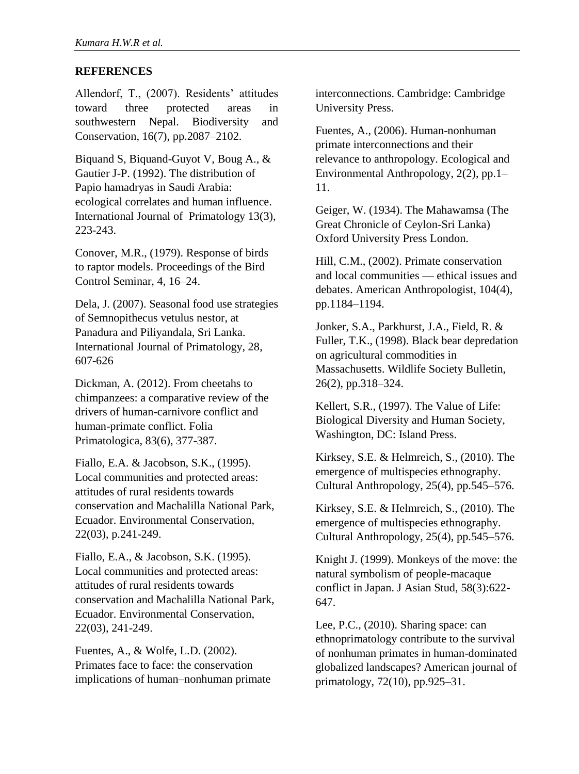#### **REFERENCES**

Allendorf, T., (2007). Residents' attitudes toward three protected areas in southwestern Nepal. Biodiversity and Conservation, 16(7), pp.2087–2102.

Biquand S, Biquand-Guyot V, Boug A., & Gautier J-P. (1992). The distribution of Papio hamadryas in Saudi Arabia: ecological correlates and human influence. International Journal of Primatology 13(3), 223-243.

Conover, M.R., (1979). Response of birds to raptor models. Proceedings of the Bird Control Seminar, 4, 16–24.

Dela, J. (2007). Seasonal food use strategies of Semnopithecus vetulus nestor, at Panadura and Piliyandala, Sri Lanka. International Journal of Primatology, 28, 607-626

Dickman, A. (2012). From cheetahs to chimpanzees: a comparative review of the drivers of human-carnivore conflict and human-primate conflict. Folia Primatologica, 83(6), 377-387.

Fiallo, E.A. & Jacobson, S.K., (1995). Local communities and protected areas: attitudes of rural residents towards conservation and Machalilla National Park, Ecuador. Environmental Conservation, 22(03), p.241-249.

Fiallo, E.A., & Jacobson, S.K. (1995). Local communities and protected areas: attitudes of rural residents towards conservation and Machalilla National Park, Ecuador. Environmental Conservation, 22(03), 241-249.

Fuentes, A., & Wolfe, L.D. (2002). Primates face to face: the conservation implications of human–nonhuman primate interconnections. Cambridge: Cambridge University Press.

Fuentes, A., (2006). Human-nonhuman primate interconnections and their relevance to anthropology. Ecological and Environmental Anthropology, 2(2), pp.1– 11.

Geiger, W. (1934). The Mahawamsa (The Great Chronicle of Ceylon-Sri Lanka) Oxford University Press London.

Hill, C.M., (2002). Primate conservation and local communities — ethical issues and debates. American Anthropologist, 104(4), pp.1184–1194.

Jonker, S.A., Parkhurst, J.A., Field, R. & Fuller, T.K., (1998). Black bear depredation on agricultural commodities in Massachusetts. Wildlife Society Bulletin, 26(2), pp.318–324.

Kellert, S.R., (1997). The Value of Life: Biological Diversity and Human Society, Washington, DC: Island Press.

Kirksey, S.E. & Helmreich, S., (2010). The emergence of multispecies ethnography. Cultural Anthropology, 25(4), pp.545–576.

Kirksey, S.E. & Helmreich, S., (2010). The emergence of multispecies ethnography. Cultural Anthropology, 25(4), pp.545–576.

Knight J. (1999). Monkeys of the move: the natural symbolism of people-macaque conflict in Japan. J Asian Stud, 58(3):622- 647.

Lee, P.C., (2010). Sharing space: can ethnoprimatology contribute to the survival of nonhuman primates in human-dominated globalized landscapes? American journal of primatology, 72(10), pp.925–31.